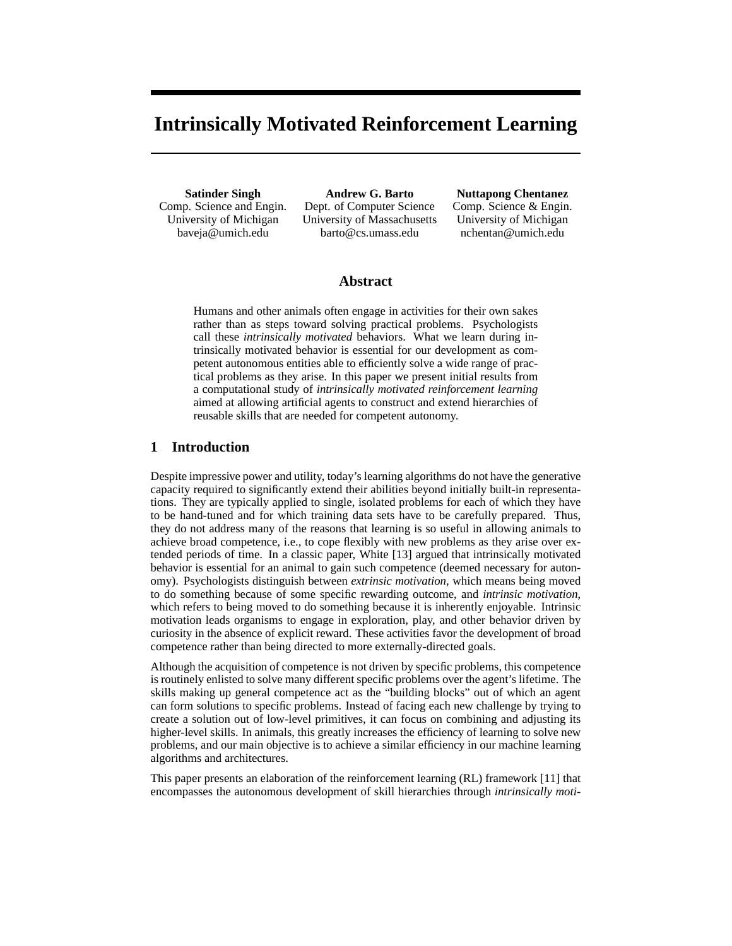# **Intrinsically Motivated Reinforcement Learning**

**Satinder Singh** Comp. Science and Engin. University of Michigan baveja@umich.edu

**Andrew G. Barto** Dept. of Computer Science University of Massachusetts barto@cs.umass.edu

**Nuttapong Chentanez** Comp. Science & Engin. University of Michigan nchentan@umich.edu

## **Abstract**

Humans and other animals often engage in activities for their own sakes rather than as steps toward solving practical problems. Psychologists call these *intrinsically motivated* behaviors. What we learn during intrinsically motivated behavior is essential for our development as competent autonomous entities able to efficiently solve a wide range of practical problems as they arise. In this paper we present initial results from a computational study of *intrinsically motivated reinforcement learning* aimed at allowing artificial agents to construct and extend hierarchies of reusable skills that are needed for competent autonomy.

## **1 Introduction**

Despite impressive power and utility, today's learning algorithms do not have the generative capacity required to significantly extend their abilities beyond initially built-in representations. They are typically applied to single, isolated problems for each of which they have to be hand-tuned and for which training data sets have to be carefully prepared. Thus, they do not address many of the reasons that learning is so useful in allowing animals to achieve broad competence, i.e., to cope flexibly with new problems as they arise over extended periods of time. In a classic paper, White [13] argued that intrinsically motivated behavior is essential for an animal to gain such competence (deemed necessary for autonomy). Psychologists distinguish between *extrinsic motivation*, which means being moved to do something because of some specific rewarding outcome, and *intrinsic motivation*, which refers to being moved to do something because it is inherently enjoyable. Intrinsic motivation leads organisms to engage in exploration, play, and other behavior driven by curiosity in the absence of explicit reward. These activities favor the development of broad competence rather than being directed to more externally-directed goals.

Although the acquisition of competence is not driven by specific problems, this competence is routinely enlisted to solve many different specific problems over the agent's lifetime. The skills making up general competence act as the "building blocks" out of which an agent can form solutions to specific problems. Instead of facing each new challenge by trying to create a solution out of low-level primitives, it can focus on combining and adjusting its higher-level skills. In animals, this greatly increases the efficiency of learning to solve new problems, and our main objective is to achieve a similar efficiency in our machine learning algorithms and architectures.

This paper presents an elaboration of the reinforcement learning (RL) framework [11] that encompasses the autonomous development of skill hierarchies through *intrinsically moti-*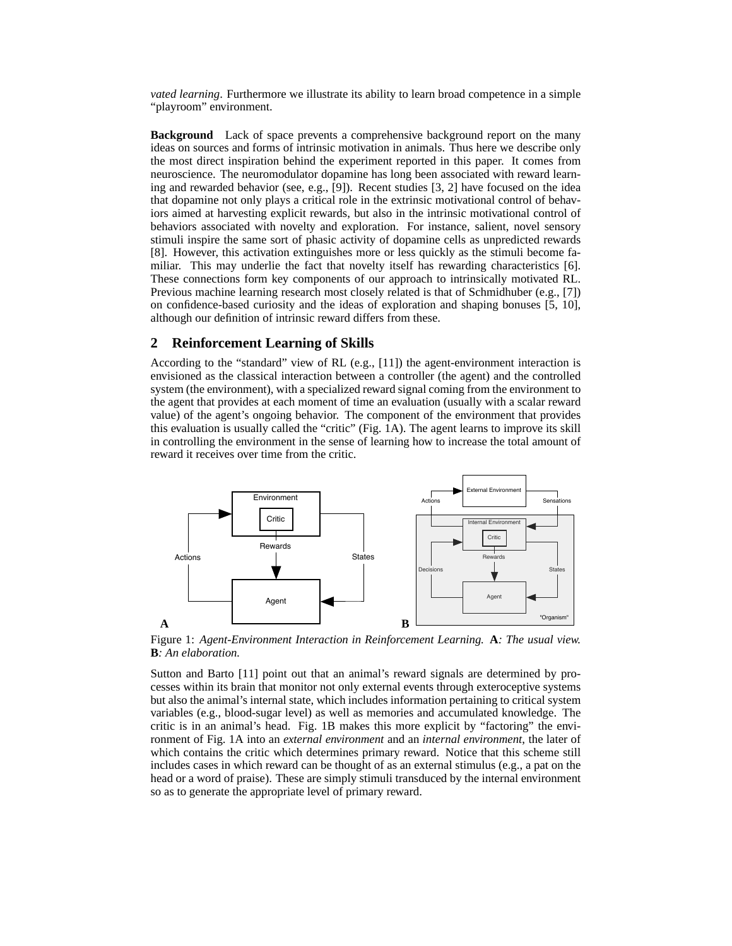*vated learning*. Furthermore we illustrate its ability to learn broad competence in a simple "playroom" environment.

**Background** Lack of space prevents a comprehensive background report on the many ideas on sources and forms of intrinsic motivation in animals. Thus here we describe only the most direct inspiration behind the experiment reported in this paper. It comes from neuroscience. The neuromodulator dopamine has long been associated with reward learning and rewarded behavior (see, e.g., [9]). Recent studies [3, 2] have focused on the idea that dopamine not only plays a critical role in the extrinsic motivational control of behaviors aimed at harvesting explicit rewards, but also in the intrinsic motivational control of behaviors associated with novelty and exploration. For instance, salient, novel sensory stimuli inspire the same sort of phasic activity of dopamine cells as unpredicted rewards [8]. However, this activation extinguishes more or less quickly as the stimuli become familiar. This may underlie the fact that novelty itself has rewarding characteristics [6]. These connections form key components of our approach to intrinsically motivated RL. Previous machine learning research most closely related is that of Schmidhuber (e.g., [7]) on confidence-based curiosity and the ideas of exploration and shaping bonuses [5, 10], although our definition of intrinsic reward differs from these.

#### **2 Reinforcement Learning of Skills**

According to the "standard" view of RL (e.g., [11]) the agent-environment interaction is envisioned as the classical interaction between a controller (the agent) and the controlled system (the environment), with a specialized reward signal coming from the environment to the agent that provides at each moment of time an evaluation (usually with a scalar reward value) of the agent's ongoing behavior. The component of the environment that provides this evaluation is usually called the "critic" (Fig. 1A). The agent learns to improve its skill in controlling the environment in the sense of learning how to increase the total amount of reward it receives over time from the critic.



Figure 1: *Agent-Environment Interaction in Reinforcement Learning.* **A***: The usual view.* **B***: An elaboration.*

Sutton and Barto [11] point out that an animal's reward signals are determined by processes within its brain that monitor not only external events through exteroceptive systems but also the animal's internal state, which includes information pertaining to critical system variables (e.g., blood-sugar level) as well as memories and accumulated knowledge. The critic is in an animal's head. Fig. 1B makes this more explicit by "factoring" the environment of Fig. 1A into an *external environment* and an *internal environment*, the later of which contains the critic which determines primary reward. Notice that this scheme still includes cases in which reward can be thought of as an external stimulus (e.g., a pat on the head or a word of praise). These are simply stimuli transduced by the internal environment so as to generate the appropriate level of primary reward.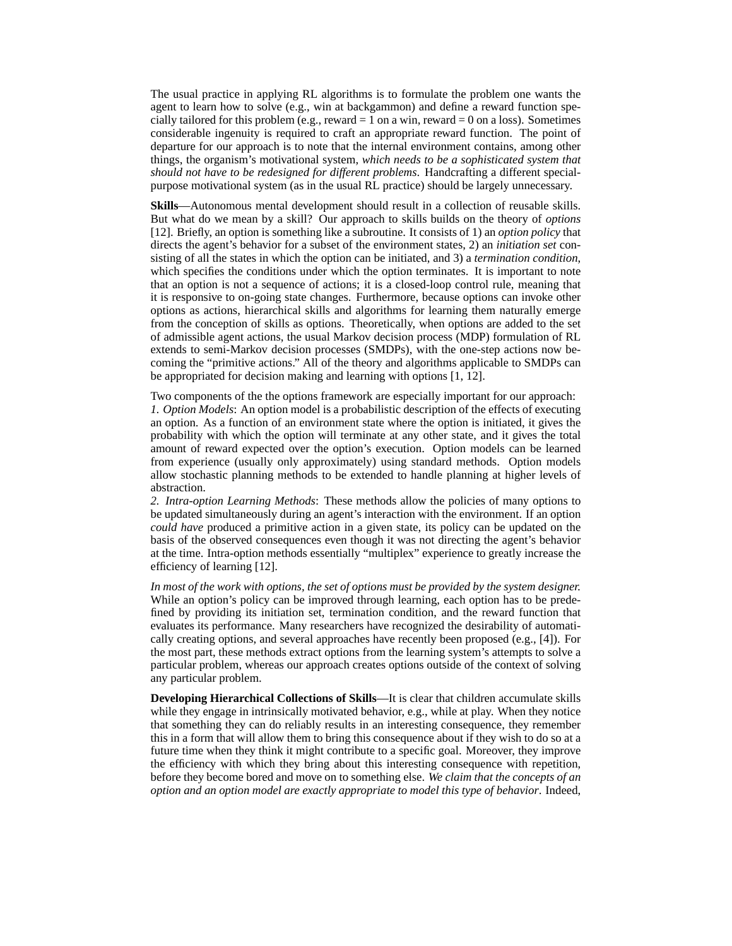The usual practice in applying RL algorithms is to formulate the problem one wants the agent to learn how to solve (e.g., win at backgammon) and define a reward function specially tailored for this problem (e.g., reward  $= 1$  on a win, reward  $= 0$  on a loss). Sometimes considerable ingenuity is required to craft an appropriate reward function. The point of departure for our approach is to note that the internal environment contains, among other things, the organism's motivational system, *which needs to be a sophisticated system that should not have to be redesigned for different problems*. Handcrafting a different specialpurpose motivational system (as in the usual RL practice) should be largely unnecessary.

**Skills**—Autonomous mental development should result in a collection of reusable skills. But what do we mean by a skill? Our approach to skills builds on the theory of *options* [12]. Briefly, an option is something like a subroutine. It consists of 1) an *option policy* that directs the agent's behavior for a subset of the environment states, 2) an *initiation set* consisting of all the states in which the option can be initiated, and 3) a *termination condition*, which specifies the conditions under which the option terminates. It is important to note that an option is not a sequence of actions; it is a closed-loop control rule, meaning that it is responsive to on-going state changes. Furthermore, because options can invoke other options as actions, hierarchical skills and algorithms for learning them naturally emerge from the conception of skills as options. Theoretically, when options are added to the set of admissible agent actions, the usual Markov decision process (MDP) formulation of RL extends to semi-Markov decision processes (SMDPs), with the one-step actions now becoming the "primitive actions." All of the theory and algorithms applicable to SMDPs can be appropriated for decision making and learning with options [1, 12].

Two components of the the options framework are especially important for our approach: *1. Option Models*: An option model is a probabilistic description of the effects of executing an option. As a function of an environment state where the option is initiated, it gives the probability with which the option will terminate at any other state, and it gives the total amount of reward expected over the option's execution. Option models can be learned from experience (usually only approximately) using standard methods. Option models allow stochastic planning methods to be extended to handle planning at higher levels of abstraction.

*2. Intra-option Learning Methods*: These methods allow the policies of many options to be updated simultaneously during an agent's interaction with the environment. If an option *could have* produced a primitive action in a given state, its policy can be updated on the basis of the observed consequences even though it was not directing the agent's behavior at the time. Intra-option methods essentially "multiplex" experience to greatly increase the efficiency of learning [12].

*In most of the work with options, the set of options must be provided by the system designer.* While an option's policy can be improved through learning, each option has to be predefined by providing its initiation set, termination condition, and the reward function that evaluates its performance. Many researchers have recognized the desirability of automatically creating options, and several approaches have recently been proposed (e.g., [4]). For the most part, these methods extract options from the learning system's attempts to solve a particular problem, whereas our approach creates options outside of the context of solving any particular problem.

**Developing Hierarchical Collections of Skills**—It is clear that children accumulate skills while they engage in intrinsically motivated behavior, e.g., while at play. When they notice that something they can do reliably results in an interesting consequence, they remember this in a form that will allow them to bring this consequence about if they wish to do so at a future time when they think it might contribute to a specific goal. Moreover, they improve the efficiency with which they bring about this interesting consequence with repetition, before they become bored and move on to something else. *We claim that the concepts of an option and an option model are exactly appropriate to model this type of behavior*. Indeed,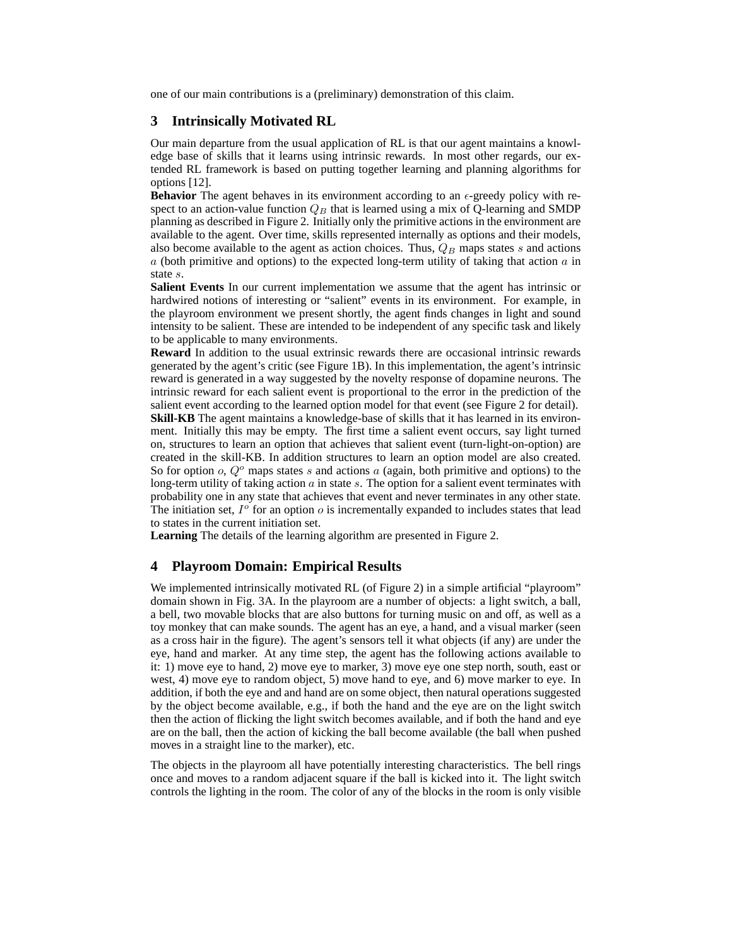one of our main contributions is a (preliminary) demonstration of this claim.

## **3 Intrinsically Motivated RL**

Our main departure from the usual application of RL is that our agent maintains a knowledge base of skills that it learns using intrinsic rewards. In most other regards, our extended RL framework is based on putting together learning and planning algorithms for options [12].

**Behavior** The agent behaves in its environment according to an  $\epsilon$ -greedy policy with respect to an action-value function  $Q_B$  that is learned using a mix of Q-learning and SMDP planning as described in Figure 2. Initially only the primitive actions in the environment are available to the agent. Over time, skills represented internally as options and their models, also become available to the agent as action choices. Thus,  $Q_B$  maps states s and actions  $a$  (both primitive and options) to the expected long-term utility of taking that action  $a$  in state s.

**Salient Events** In our current implementation we assume that the agent has intrinsic or hardwired notions of interesting or "salient" events in its environment. For example, in the playroom environment we present shortly, the agent finds changes in light and sound intensity to be salient. These are intended to be independent of any specific task and likely to be applicable to many environments.

**Reward** In addition to the usual extrinsic rewards there are occasional intrinsic rewards generated by the agent's critic (see Figure 1B). In this implementation, the agent's intrinsic reward is generated in a way suggested by the novelty response of dopamine neurons. The intrinsic reward for each salient event is proportional to the error in the prediction of the salient event according to the learned option model for that event (see Figure 2 for detail). **Skill-KB** The agent maintains a knowledge-base of skills that it has learned in its environment. Initially this may be empty. The first time a salient event occurs, say light turned on, structures to learn an option that achieves that salient event (turn-light-on-option) are created in the skill-KB. In addition structures to learn an option model are also created. So for option  $o$ ,  $Q^o$  maps states s and actions a (again, both primitive and options) to the long-term utility of taking action  $a$  in state  $s$ . The option for a salient event terminates with probability one in any state that achieves that event and never terminates in any other state. The initiation set,  $I^{\circ}$  for an option  $\circ$  is incrementally expanded to includes states that lead to states in the current initiation set.

**Learning** The details of the learning algorithm are presented in Figure 2.

#### **4 Playroom Domain: Empirical Results**

We implemented intrinsically motivated RL (of Figure 2) in a simple artificial "playroom" domain shown in Fig. 3A. In the playroom are a number of objects: a light switch, a ball, a bell, two movable blocks that are also buttons for turning music on and off, as well as a toy monkey that can make sounds. The agent has an eye, a hand, and a visual marker (seen as a cross hair in the figure). The agent's sensors tell it what objects (if any) are under the eye, hand and marker. At any time step, the agent has the following actions available to it: 1) move eye to hand, 2) move eye to marker, 3) move eye one step north, south, east or west, 4) move eye to random object, 5) move hand to eye, and 6) move marker to eye. In addition, if both the eye and and hand are on some object, then natural operations suggested by the object become available, e.g., if both the hand and the eye are on the light switch then the action of flicking the light switch becomes available, and if both the hand and eye are on the ball, then the action of kicking the ball become available (the ball when pushed moves in a straight line to the marker), etc.

The objects in the playroom all have potentially interesting characteristics. The bell rings once and moves to a random adjacent square if the ball is kicked into it. The light switch controls the lighting in the room. The color of any of the blocks in the room is only visible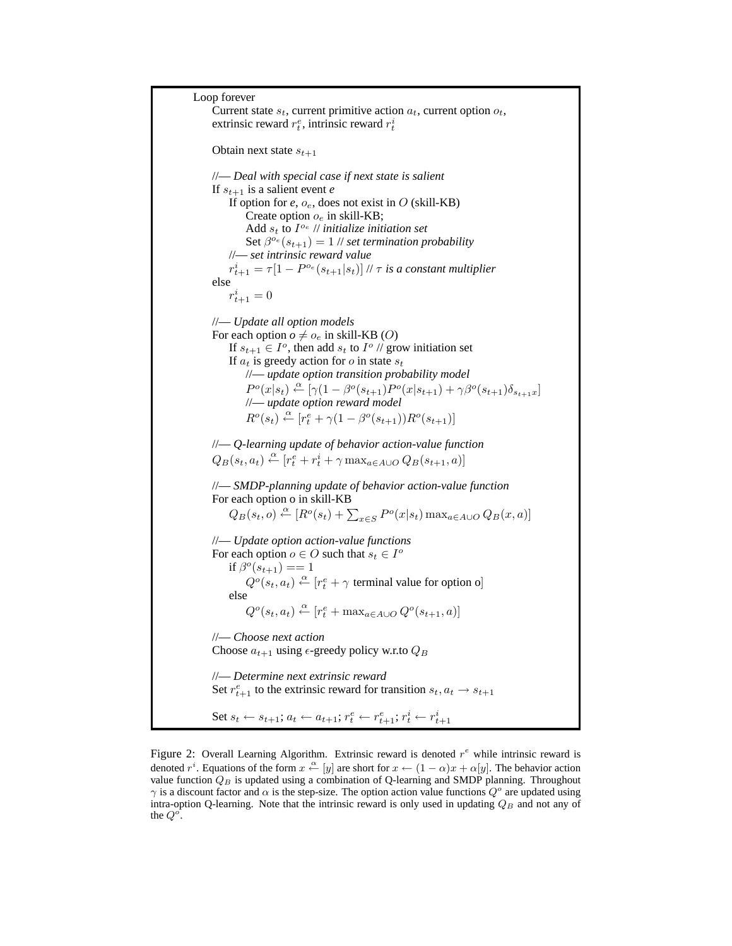Loop forever Current state  $s_t$ , current primitive action  $a_t$ , current option  $o_t$ , extrinsic reward  $r_t^e$ , intrinsic reward  $r_t^i$ Obtain next state  $s_{t+1}$ //— *Deal with special case if next state is salient* If  $s_{t+1}$  is a salient event *e* If option for  $e$ ,  $o_e$ , does not exist in  $O$  (skill-KB) Create option  $o_e$  in skill-KB; Add  $s_t$  to  $I^{o_e}$  // *initialize initiation set* Set  $\beta^{o_e}(s_{t+1}) = 1$  // *set termination probability* //— *set intrinsic reward value*  $r_{t+1}^i = \tau [1-P^{o_e}(s_{t+1}|s_t)]$  //  $\tau$  *is a constant multiplier* else  $r_{t+1}^i = 0$ //— *Update all option models* For each option  $o \neq o_e$  in skill-KB (O) If  $s_{t+1} \in I^o$ , then add  $s_t$  to  $I^o$  // grow initiation set If  $a_t$  is greedy action for o in state  $s_t$ //— *update option transition probability model*  $P^o(x|s_t) \stackrel{\alpha}{\leftarrow} [\gamma(1-\beta^o(s_{t+1}) P^o(x|s_{t+1}) + \gamma \beta^o(s_{t+1}) \delta_{s_{t+1}x}]$ //— *update option reward model*  $R^o(s_t) \stackrel{\alpha}{\leftarrow} [r_t^e + \gamma(1 - \beta^o(s_{t+1}))R^o(s_{t+1})]$ //— *Q-learning update of behavior action-value function*  $Q_B(s_t, a_t) \stackrel{\alpha}{\leftarrow} [r_t^e + r_t^i + \gamma \max_{a \in A \cup O} Q_B(s_{t+1}, a)]$ //— *SMDP-planning update of behavior action-value function* For each option o in skill-KB  $Q_B(s_t, o) \stackrel{\alpha}{\leftarrow} [R^o(s_t) + \sum_{x \in S} P^o(x|s_t) \max_{a \in A \cup O} Q_B(x, a)]$ //— *Update option action-value functions* For each option  $o \in O$  such that  $s_t \in I^o$ if  $\beta^{o}(s_{t+1}) == 1$  $Q^o(s_t, a_t) \stackrel{\alpha}{\leftarrow} [r_t^e + \gamma \text{ terminal value for option o}]$ else  $Q^o(s_t, a_t) \stackrel{\alpha}{\leftarrow} [r_t^e + \max_{a \in A \cup O} Q^o(s_{t+1}, a)]$ //— *Choose next action* Choose  $a_{t+1}$  using  $\epsilon$ -greedy policy w.r.to  $Q_B$ //— *Determine next extrinsic reward* Set  $r_{t+1}^e$  to the extrinsic reward for transition  $s_t, a_t \rightarrow s_{t+1}$ Set  $s_t \leftarrow s_{t+1}; a_t \leftarrow a_{t+1}; r_t^e \leftarrow r_{t+1}^e; r_t^i \leftarrow r_{t+1}^i$ 

Figure 2: Overall Learning Algorithm. Extrinsic reward is denoted  $r^e$  while intrinsic reward is denoted r<sup>i</sup>. Equations of the form  $x \stackrel{\alpha}{\leftarrow} [y]$  are short for  $x \leftarrow (1-\alpha)x + \alpha[y]$ . The behavior action value function  $Q_B$  is updated using a combination of Q-learning and SMDP planning. Throughout  $\gamma$  is a discount factor and  $\alpha$  is the step-size. The option action value functions  $Q^o$  are updated using intra-option Q-learning. Note that the intrinsic reward is only used in updating  $Q_B$  and not any of the  $Q^o$ .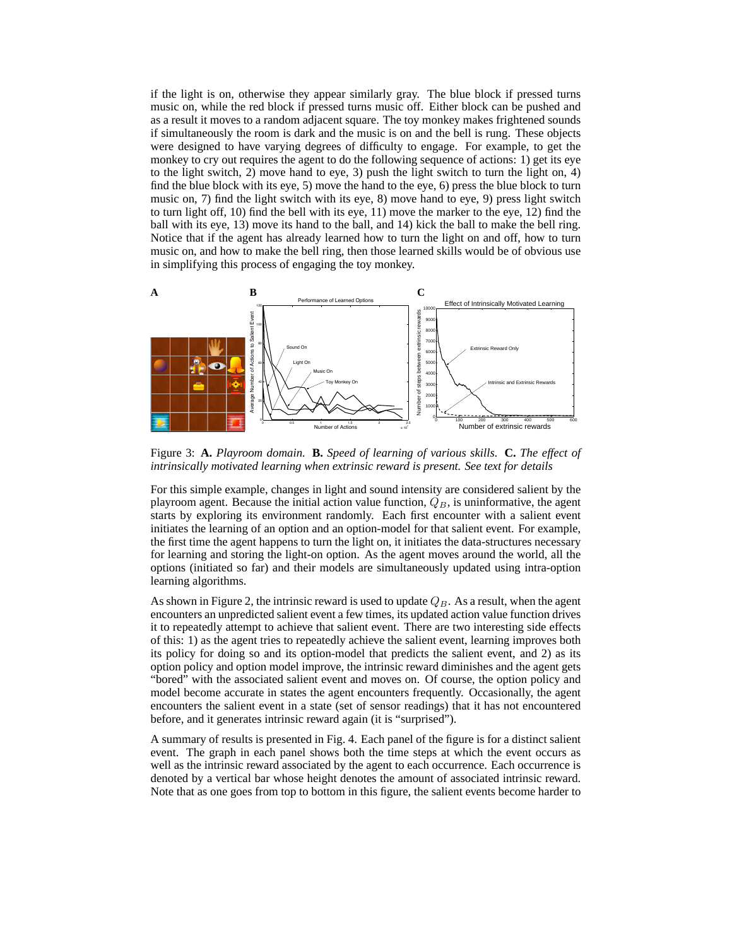if the light is on, otherwise they appear similarly gray. The blue block if pressed turns music on, while the red block if pressed turns music off. Either block can be pushed and as a result it moves to a random adjacent square. The toy monkey makes frightened sounds if simultaneously the room is dark and the music is on and the bell is rung. These objects were designed to have varying degrees of difficulty to engage. For example, to get the monkey to cry out requires the agent to do the following sequence of actions: 1) get its eye to the light switch, 2) move hand to eye, 3) push the light switch to turn the light on, 4) find the blue block with its eye, 5) move the hand to the eye, 6) press the blue block to turn music on, 7) find the light switch with its eye, 8) move hand to eye, 9) press light switch to turn light off, 10) find the bell with its eye, 11) move the marker to the eye, 12) find the ball with its eye, 13) move its hand to the ball, and 14) kick the ball to make the bell ring. Notice that if the agent has already learned how to turn the light on and off, how to turn music on, and how to make the bell ring, then those learned skills would be of obvious use in simplifying this process of engaging the toy monkey.



Figure 3: **A.** *Playroom domain.* **B.** *Speed of learning of various skills.* **C.** *The effect of intrinsically motivated learning when extrinsic reward is present. See text for details*

For this simple example, changes in light and sound intensity are considered salient by the playroom agent. Because the initial action value function,  $Q_B$ , is uninformative, the agent starts by exploring its environment randomly. Each first encounter with a salient event initiates the learning of an option and an option-model for that salient event. For example, the first time the agent happens to turn the light on, it initiates the data-structures necessary for learning and storing the light-on option. As the agent moves around the world, all the options (initiated so far) and their models are simultaneously updated using intra-option learning algorithms.

As shown in Figure 2, the intrinsic reward is used to update  $Q_B$ . As a result, when the agent encounters an unpredicted salient event a few times, its updated action value function drives it to repeatedly attempt to achieve that salient event. There are two interesting side effects of this: 1) as the agent tries to repeatedly achieve the salient event, learning improves both its policy for doing so and its option-model that predicts the salient event, and 2) as its option policy and option model improve, the intrinsic reward diminishes and the agent gets "bored" with the associated salient event and moves on. Of course, the option policy and model become accurate in states the agent encounters frequently. Occasionally, the agent encounters the salient event in a state (set of sensor readings) that it has not encountered before, and it generates intrinsic reward again (it is "surprised").

A summary of results is presented in Fig. 4. Each panel of the figure is for a distinct salient event. The graph in each panel shows both the time steps at which the event occurs as well as the intrinsic reward associated by the agent to each occurrence. Each occurrence is denoted by a vertical bar whose height denotes the amount of associated intrinsic reward. Note that as one goes from top to bottom in this figure, the salient events become harder to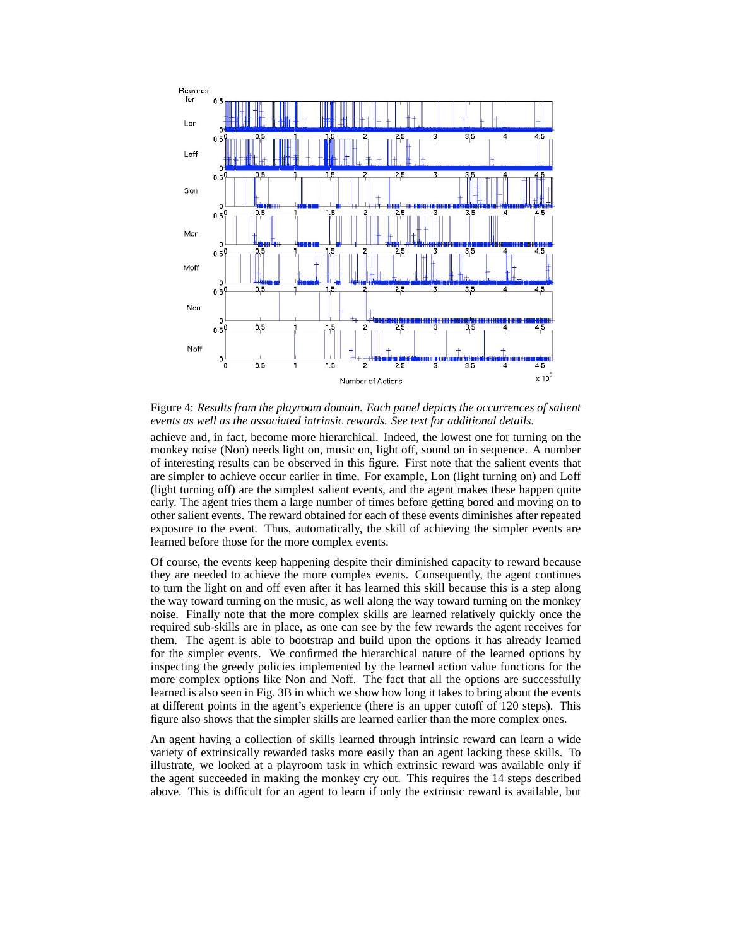

Figure 4: *Results from the playroom domain. Each panel depicts the occurrences of salient events as well as the associated intrinsic rewards. See text for additional details.*

achieve and, in fact, become more hierarchical. Indeed, the lowest one for turning on the monkey noise (Non) needs light on, music on, light off, sound on in sequence. A number of interesting results can be observed in this figure. First note that the salient events that are simpler to achieve occur earlier in time. For example, Lon (light turning on) and Loff (light turning off) are the simplest salient events, and the agent makes these happen quite early. The agent tries them a large number of times before getting bored and moving on to other salient events. The reward obtained for each of these events diminishes after repeated exposure to the event. Thus, automatically, the skill of achieving the simpler events are learned before those for the more complex events.

Of course, the events keep happening despite their diminished capacity to reward because they are needed to achieve the more complex events. Consequently, the agent continues to turn the light on and off even after it has learned this skill because this is a step along the way toward turning on the music, as well along the way toward turning on the monkey noise. Finally note that the more complex skills are learned relatively quickly once the required sub-skills are in place, as one can see by the few rewards the agent receives for them. The agent is able to bootstrap and build upon the options it has already learned for the simpler events. We confirmed the hierarchical nature of the learned options by inspecting the greedy policies implemented by the learned action value functions for the more complex options like Non and Noff. The fact that all the options are successfully learned is also seen in Fig. 3B in which we show how long it takes to bring about the events at different points in the agent's experience (there is an upper cutoff of 120 steps). This figure also shows that the simpler skills are learned earlier than the more complex ones.

An agent having a collection of skills learned through intrinsic reward can learn a wide variety of extrinsically rewarded tasks more easily than an agent lacking these skills. To illustrate, we looked at a playroom task in which extrinsic reward was available only if the agent succeeded in making the monkey cry out. This requires the 14 steps described above. This is difficult for an agent to learn if only the extrinsic reward is available, but